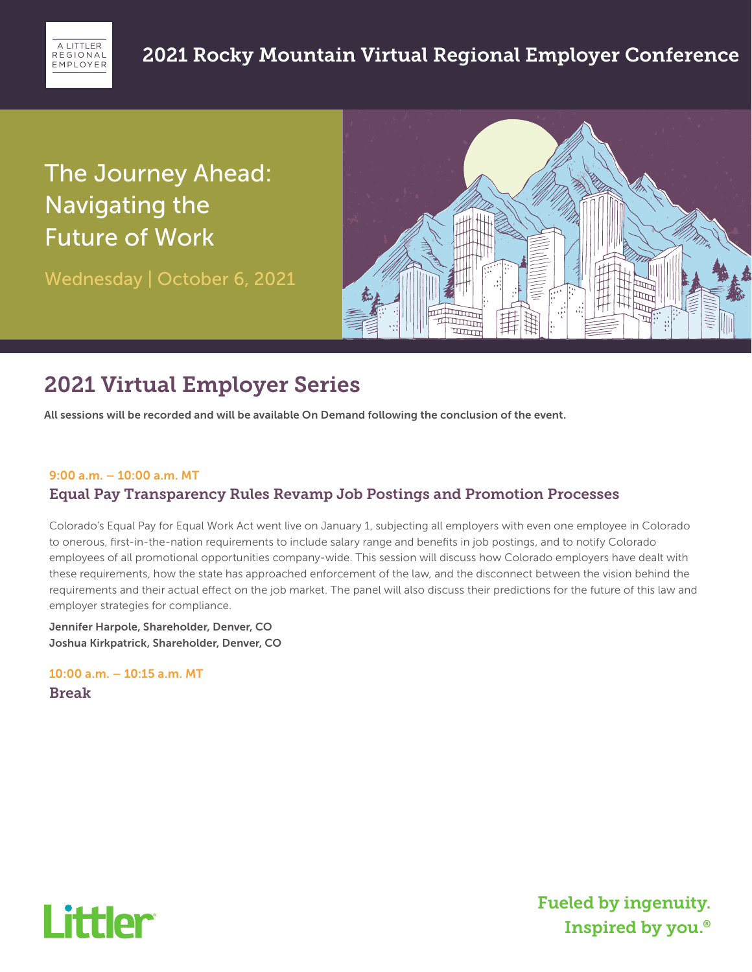

# The Journey Ahead: Navigating the Future of Work

Wednesday | October 6, 2021



## 2021 Virtual Employer Series

All sessions will be recorded and will be available On Demand following the conclusion of the event.

#### 9:00 a.m. – 10:00 a.m. MT

### Equal Pay Transparency Rules Revamp Job Postings and Promotion Processes

Colorado's Equal Pay for Equal Work Act went live on January 1, subjecting all employers with even one employee in Colorado to onerous, first-in-the-nation requirements to include salary range and benefits in job postings, and to notify Colorado employees of all promotional opportunities company-wide. This session will discuss how Colorado employers have dealt with these requirements, how the state has approached enforcement of the law, and the disconnect between the vision behind the requirements and their actual effect on the job market. The panel will also discuss their predictions for the future of this law and employer strategies for compliance.

Jennifer Harpole, Shareholder, Denver, CO Joshua Kirkpatrick, Shareholder, Denver, CO

10:00 a.m. – 10:15 a.m. MT Break

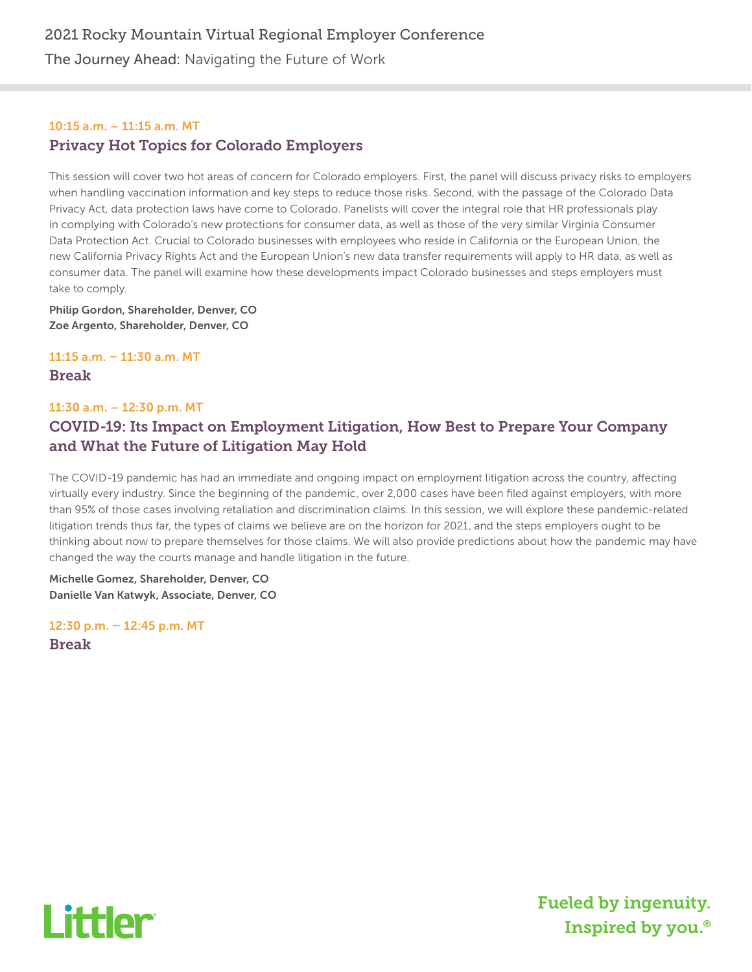The Journey Ahead: Navigating the Future of Work

### 10:15 a.m. – 11:15 a.m. MT Privacy Hot Topics for Colorado Employers

This session will cover two hot areas of concern for Colorado employers. First, the panel will discuss privacy risks to employers when handling vaccination information and key steps to reduce those risks. Second, with the passage of the Colorado Data Privacy Act, data protection laws have come to Colorado. Panelists will cover the integral role that HR professionals play in complying with Colorado's new protections for consumer data, as well as those of the very similar Virginia Consumer Data Protection Act. Crucial to Colorado businesses with employees who reside in California or the European Union, the new California Privacy Rights Act and the European Union's new data transfer requirements will apply to HR data, as well as consumer data. The panel will examine how these developments impact Colorado businesses and steps employers must take to comply.

Philip Gordon, Shareholder, Denver, CO Zoe Argento, Shareholder, Denver, CO

11:15 a.m. – 11:30 a.m. MT

Break

#### 11:30 a.m. – 12:30 p.m. MT

## COVID-19: Its Impact on Employment Litigation, How Best to Prepare Your Company and What the Future of Litigation May Hold

The COVID-19 pandemic has had an immediate and ongoing impact on employment litigation across the country, affecting virtually every industry. Since the beginning of the pandemic, over 2,000 cases have been filed against employers, with more than 95% of those cases involving retaliation and discrimination claims. In this session, we will explore these pandemic-related litigation trends thus far, the types of claims we believe are on the horizon for 2021, and the steps employers ought to be thinking about now to prepare themselves for those claims. We will also provide predictions about how the pandemic may have changed the way the courts manage and handle litigation in the future.

Michelle Gomez, Shareholder, Denver, CO Danielle Van Katwyk, Associate, Denver, CO

12:30 p.m. – 12:45 p.m. MT Break

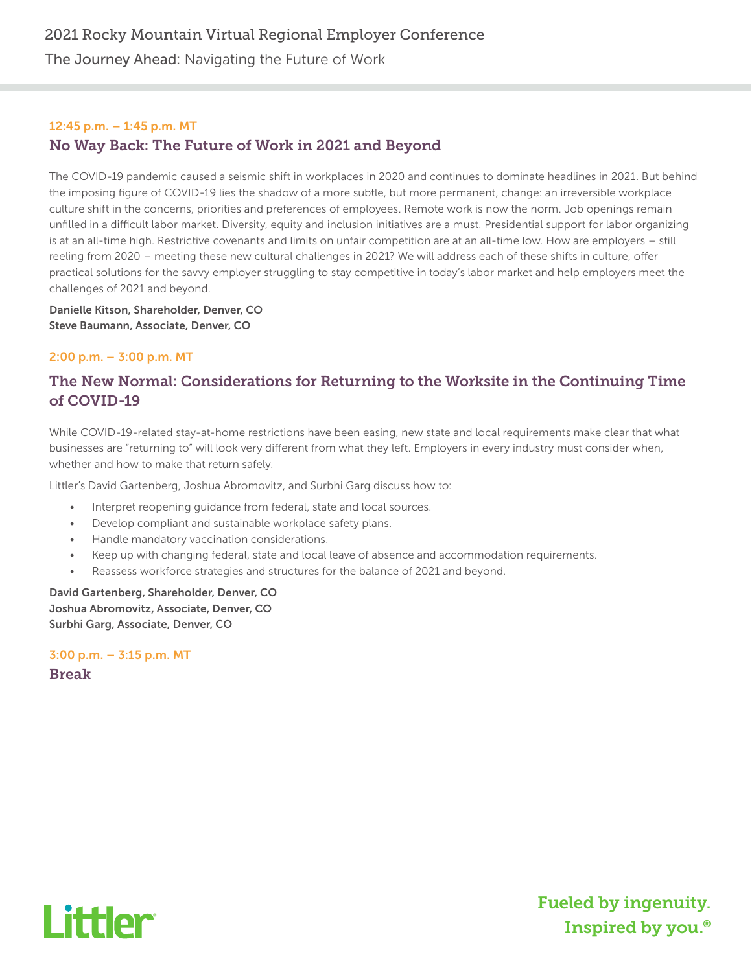The Journey Ahead: Navigating the Future of Work

#### 12:45 p.m. – 1:45 p.m. MT No Way Back: The Future of Work in 2021 and Beyond

The COVID-19 pandemic caused a seismic shift in workplaces in 2020 and continues to dominate headlines in 2021. But behind the imposing figure of COVID-19 lies the shadow of a more subtle, but more permanent, change: an irreversible workplace culture shift in the concerns, priorities and preferences of employees. Remote work is now the norm. Job openings remain unfilled in a difficult labor market. Diversity, equity and inclusion initiatives are a must. Presidential support for labor organizing is at an all-time high. Restrictive covenants and limits on unfair competition are at an all-time low. How are employers – still reeling from 2020 – meeting these new cultural challenges in 2021? We will address each of these shifts in culture, offer practical solutions for the savvy employer struggling to stay competitive in today's labor market and help employers meet the challenges of 2021 and beyond.

Danielle Kitson, Shareholder, Denver, CO Steve Baumann, Associate, Denver, CO

#### 2:00 p.m. – 3:00 p.m. MT

## The New Normal: Considerations for Returning to the Worksite in the Continuing Time of COVID-19

While COVID-19-related stay-at-home restrictions have been easing, new state and local requirements make clear that what businesses are "returning to" will look very different from what they left. Employers in every industry must consider when, whether and how to make that return safely.

Littler's David Gartenberg, Joshua Abromovitz, and Surbhi Garg discuss how to:

- Interpret reopening guidance from federal, state and local sources.
- Develop compliant and sustainable workplace safety plans.
- Handle mandatory vaccination considerations.
- Keep up with changing federal, state and local leave of absence and accommodation requirements.
- Reassess workforce strategies and structures for the balance of 2021 and beyond.

David Gartenberg, Shareholder, Denver, CO Joshua Abromovitz, Associate, Denver, CO Surbhi Garg, Associate, Denver, CO

3:00 p.m. – 3:15 p.m. MT Break